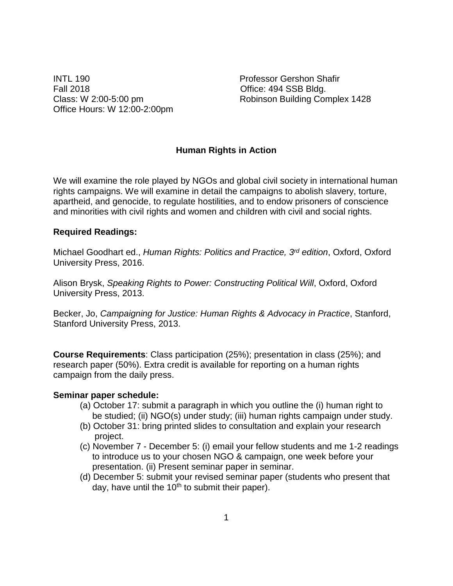INTL 190 Professor Gershon Shafir Fall 2018 **Contract Contract Contract Contract Contract Contract Contract Contract Contract Contract Contract Contract Contract Contract Contract Contract Contract Contract Contract Contract Contract Contract Contract Cont** Office Hours: W 12:00-2:00pm

Class: W 2:00-5:00 pm Robinson Building Complex 1428

#### **Human Rights in Action**

We will examine the role played by NGOs and global civil society in international human rights campaigns. We will examine in detail the campaigns to abolish slavery, torture, apartheid, and genocide, to regulate hostilities, and to endow prisoners of conscience and minorities with civil rights and women and children with civil and social rights.

#### **Required Readings:**

Michael Goodhart ed., *Human Rights: Politics and Practice, 3rd edition*, Oxford, Oxford University Press, 2016.

Alison Brysk, *Speaking Rights to Power: Constructing Political Will*, Oxford, Oxford University Press, 2013.

Becker, Jo, *Campaigning for Justice: Human Rights & Advocacy in Practice*, Stanford, Stanford University Press, 2013.

**Course Requirements**: Class participation (25%); presentation in class (25%); and research paper (50%). Extra credit is available for reporting on a human rights campaign from the daily press.

#### **Seminar paper schedule:**

- (a) October 17: submit a paragraph in which you outline the (i) human right to be studied; (ii) NGO(s) under study; (iii) human rights campaign under study.
- (b) October 31: bring printed slides to consultation and explain your research project.
- (c) November 7 December 5: (i) email your fellow students and me 1-2 readings to introduce us to your chosen NGO & campaign, one week before your presentation. (ii) Present seminar paper in seminar.
- (d) December 5: submit your revised seminar paper (students who present that day, have until the  $10<sup>th</sup>$  to submit their paper).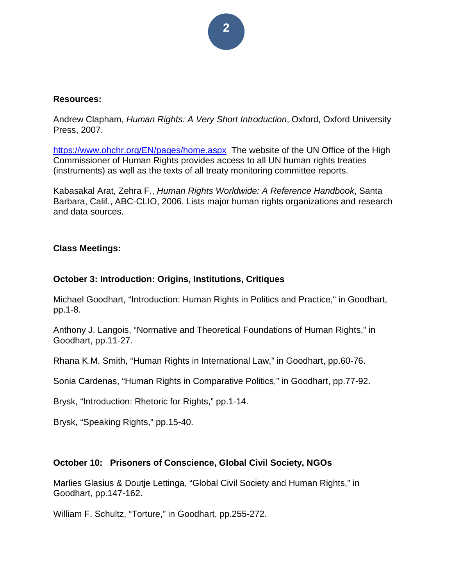# **2**

#### **Resources:**

Andrew Clapham, *Human Rights: A Very Short Introduction*, Oxford, Oxford University Press, 2007.

<https://www.ohchr.org/EN/pages/home.aspx>The website of the UN Office of the High Commissioner of Human Rights provides access to all UN human rights treaties (instruments) as well as the texts of all treaty monitoring committee reports.

Kabasakal Arat, Zehra F., *Human Rights Worldwide: A Reference Handbook*, Santa Barbara, Calif., ABC-CLIO, 2006. Lists major human rights organizations and research and data sources.

### **Class Meetings:**

### **October 3: Introduction: Origins, Institutions, Critiques**

Michael Goodhart, "Introduction: Human Rights in Politics and Practice," in Goodhart, pp.1-8.

Anthony J. Langois, "Normative and Theoretical Foundations of Human Rights," in Goodhart, pp.11-27.

Rhana K.M. Smith, "Human Rights in International Law," in Goodhart, pp.60-76.

Sonia Cardenas, "Human Rights in Comparative Politics," in Goodhart, pp.77-92.

Brysk, "Introduction: Rhetoric for Rights," pp.1-14.

Brysk, "Speaking Rights," pp.15-40.

## **October 10: Prisoners of Conscience, Global Civil Society, NGOs**

Marlies Glasius & Doutje Lettinga, "Global Civil Society and Human Rights," in Goodhart, pp.147-162.

William F. Schultz, "Torture," in Goodhart, pp.255-272.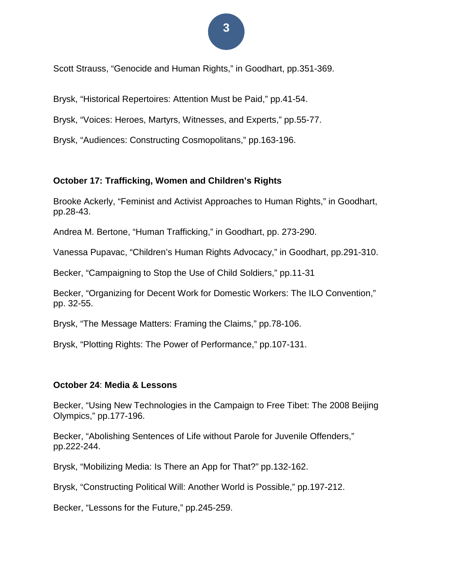# **3**

Scott Strauss, "Genocide and Human Rights," in Goodhart, pp.351-369.

Brysk, "Historical Repertoires: Attention Must be Paid," pp.41-54.

Brysk, "Voices: Heroes, Martyrs, Witnesses, and Experts," pp.55-77.

Brysk, "Audiences: Constructing Cosmopolitans," pp.163-196.

### **October 17: Trafficking, Women and Children's Rights**

Brooke Ackerly, "Feminist and Activist Approaches to Human Rights," in Goodhart, pp.28-43.

Andrea M. Bertone, "Human Trafficking," in Goodhart, pp. 273-290.

Vanessa Pupavac, "Children's Human Rights Advocacy," in Goodhart, pp.291-310.

Becker, "Campaigning to Stop the Use of Child Soldiers," pp.11-31

Becker, "Organizing for Decent Work for Domestic Workers: The ILO Convention," pp. 32-55.

Brysk, "The Message Matters: Framing the Claims," pp.78-106.

Brysk, "Plotting Rights: The Power of Performance," pp.107-131.

#### **October 24**: **Media & Lessons**

Becker, "Using New Technologies in the Campaign to Free Tibet: The 2008 Beijing Olympics," pp.177-196.

Becker, "Abolishing Sentences of Life without Parole for Juvenile Offenders," pp.222-244.

Brysk, "Mobilizing Media: Is There an App for That?" pp.132-162.

Brysk, "Constructing Political Will: Another World is Possible," pp.197-212.

Becker, "Lessons for the Future," pp.245-259.